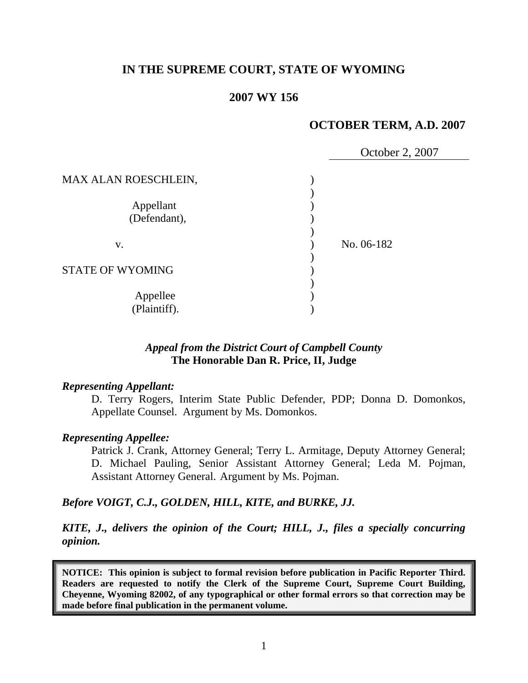## **IN THE SUPREME COURT, STATE OF WYOMING**

### **2007 WY 156**

# **OCTOBER TERM, A.D. 2007**

|                           | October 2, 2007 |
|---------------------------|-----------------|
| MAX ALAN ROESCHLEIN,      |                 |
| Appellant<br>(Defendant), |                 |
| V.                        | No. 06-182      |
| <b>STATE OF WYOMING</b>   |                 |
| Appellee<br>(Plaintiff).  |                 |

### *Appeal from the District Court of Campbell County* **The Honorable Dan R. Price, II, Judge**

#### *Representing Appellant:*

D. Terry Rogers, Interim State Public Defender, PDP; Donna D. Domonkos, Appellate Counsel. Argument by Ms. Domonkos.

#### *Representing Appellee:*

Patrick J. Crank, Attorney General; Terry L. Armitage, Deputy Attorney General; D. Michael Pauling, Senior Assistant Attorney General; Leda M. Pojman, Assistant Attorney General. Argument by Ms. Pojman.

### *Before VOIGT, C.J., GOLDEN, HILL, KITE, and BURKE, JJ.*

*KITE, J., delivers the opinion of the Court; HILL, J., files a specially concurring opinion.*

**NOTICE: This opinion is subject to formal revision before publication in Pacific Reporter Third. Readers are requested to notify the Clerk of the Supreme Court, Supreme Court Building, Cheyenne, Wyoming 82002, of any typographical or other formal errors so that correction may be made before final publication in the permanent volume.**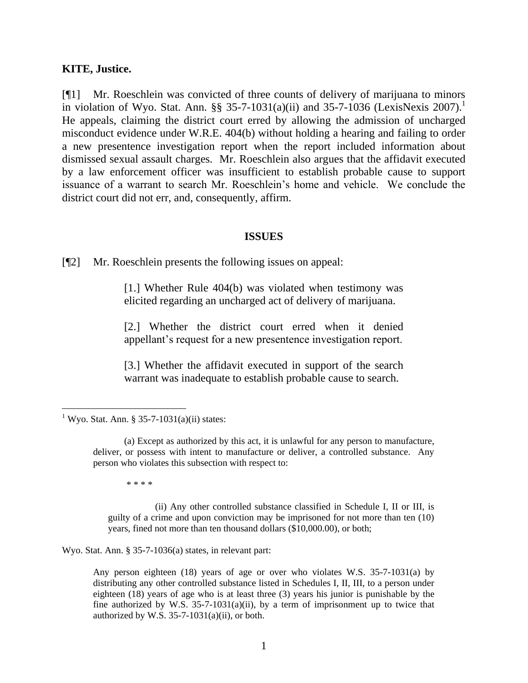#### **KITE, Justice.**

[¶1] Mr. Roeschlein was convicted of three counts of delivery of marijuana to minors in violation of Wyo. Stat. Ann. §§ 35-7-1031(a)(ii) and 35-7-1036 (LexisNexis 2007).<sup>1</sup> He appeals, claiming the district court erred by allowing the admission of uncharged misconduct evidence under W.R.E. 404(b) without holding a hearing and failing to order a new presentence investigation report when the report included information about dismissed sexual assault charges. Mr. Roeschlein also argues that the affidavit executed by a law enforcement officer was insufficient to establish probable cause to support issuance of a warrant to search Mr. Roeschlein's home and vehicle. We conclude the district court did not err, and, consequently, affirm.

#### **ISSUES**

[¶2] Mr. Roeschlein presents the following issues on appeal:

[1.] Whether Rule 404(b) was violated when testimony was elicited regarding an uncharged act of delivery of marijuana.

[2.] Whether the district court erred when it denied appellant's request for a new presentence investigation report.

[3.] Whether the affidavit executed in support of the search warrant was inadequate to establish probable cause to search.

\* \* \* \*

(ii) Any other controlled substance classified in Schedule I, II or III, is guilty of a crime and upon conviction may be imprisoned for not more than ten (10) years, fined not more than ten thousand dollars (\$10,000.00), or both;

Wyo. Stat. Ann. § 35-7-1036(a) states, in relevant part:

Any person eighteen (18) years of age or over who violates W.S. 35-7-1031(a) by distributing any other controlled substance listed in Schedules I, II, III, to a person under eighteen (18) years of age who is at least three (3) years his junior is punishable by the fine authorized by W.S.  $35-7-1031(a)(ii)$ , by a term of imprisonment up to twice that authorized by W.S.  $35-7-1031(a)(ii)$ , or both.

<sup>&</sup>lt;sup>1</sup> Wyo. Stat. Ann. § 35-7-1031(a)(ii) states:

<sup>(</sup>a) Except as authorized by this act, it is unlawful for any person to manufacture, deliver, or possess with intent to manufacture or deliver, a controlled substance. Any person who violates this subsection with respect to: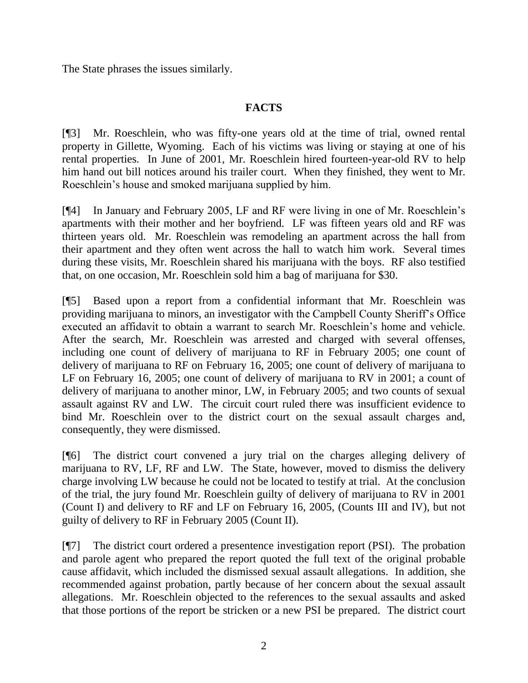The State phrases the issues similarly.

## **FACTS**

[¶3] Mr. Roeschlein, who was fifty-one years old at the time of trial, owned rental property in Gillette, Wyoming. Each of his victims was living or staying at one of his rental properties. In June of 2001, Mr. Roeschlein hired fourteen-year-old RV to help him hand out bill notices around his trailer court. When they finished, they went to Mr. Roeschlein's house and smoked marijuana supplied by him.

[¶4] In January and February 2005, LF and RF were living in one of Mr. Roeschlein's apartments with their mother and her boyfriend. LF was fifteen years old and RF was thirteen years old. Mr. Roeschlein was remodeling an apartment across the hall from their apartment and they often went across the hall to watch him work. Several times during these visits, Mr. Roeschlein shared his marijuana with the boys. RF also testified that, on one occasion, Mr. Roeschlein sold him a bag of marijuana for \$30.

[¶5] Based upon a report from a confidential informant that Mr. Roeschlein was providing marijuana to minors, an investigator with the Campbell County Sheriff's Office executed an affidavit to obtain a warrant to search Mr. Roeschlein's home and vehicle. After the search, Mr. Roeschlein was arrested and charged with several offenses, including one count of delivery of marijuana to RF in February 2005; one count of delivery of marijuana to RF on February 16, 2005; one count of delivery of marijuana to LF on February 16, 2005; one count of delivery of marijuana to RV in 2001; a count of delivery of marijuana to another minor, LW, in February 2005; and two counts of sexual assault against RV and LW. The circuit court ruled there was insufficient evidence to bind Mr. Roeschlein over to the district court on the sexual assault charges and, consequently, they were dismissed.

[¶6] The district court convened a jury trial on the charges alleging delivery of marijuana to RV, LF, RF and LW. The State, however, moved to dismiss the delivery charge involving LW because he could not be located to testify at trial. At the conclusion of the trial, the jury found Mr. Roeschlein guilty of delivery of marijuana to RV in 2001 (Count I) and delivery to RF and LF on February 16, 2005, (Counts III and IV), but not guilty of delivery to RF in February 2005 (Count II).

[¶7] The district court ordered a presentence investigation report (PSI). The probation and parole agent who prepared the report quoted the full text of the original probable cause affidavit, which included the dismissed sexual assault allegations. In addition, she recommended against probation, partly because of her concern about the sexual assault allegations. Mr. Roeschlein objected to the references to the sexual assaults and asked that those portions of the report be stricken or a new PSI be prepared. The district court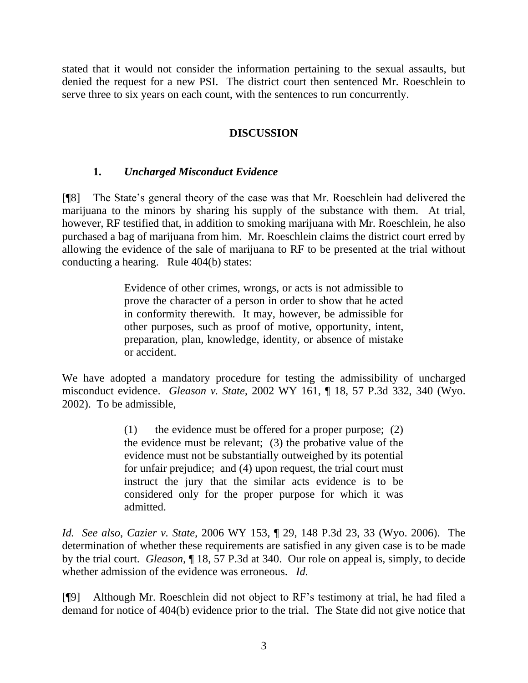stated that it would not consider the information pertaining to the sexual assaults, but denied the request for a new PSI. The district court then sentenced Mr. Roeschlein to serve three to six years on each count, with the sentences to run concurrently.

## **DISCUSSION**

## **1.** *Uncharged Misconduct Evidence*

[¶8] The State's general theory of the case was that Mr. Roeschlein had delivered the marijuana to the minors by sharing his supply of the substance with them. At trial, however, RF testified that, in addition to smoking marijuana with Mr. Roeschlein, he also purchased a bag of marijuana from him. Mr. Roeschlein claims the district court erred by allowing the evidence of the sale of marijuana to RF to be presented at the trial without conducting a hearing. Rule 404(b) states:

> Evidence of other crimes, wrongs, or acts is not admissible to prove the character of a person in order to show that he acted in conformity therewith. It may, however, be admissible for other purposes, such as proof of motive, opportunity, intent, preparation, plan, knowledge, identity, or absence of mistake or accident.

We have adopted a mandatory procedure for testing the admissibility of uncharged misconduct evidence. *Gleason v. State,* 2002 WY 161, ¶ 18, 57 P.3d 332, 340 (Wyo. 2002). To be admissible,

> (1) the evidence must be offered for a proper purpose; (2) the evidence must be relevant; (3) the probative value of the evidence must not be substantially outweighed by its potential for unfair prejudice; and (4) upon request, the trial court must instruct the jury that the similar acts evidence is to be considered only for the proper purpose for which it was admitted.

*Id. See also*, *Cazier v. State,* 2006 WY 153, ¶ 29, 148 P.3d 23, 33 (Wyo. 2006). The determination of whether these requirements are satisfied in any given case is to be made by the trial court. *Gleason,* ¶ 18, 57 P.3d at 340. Our role on appeal is, simply, to decide whether admission of the evidence was erroneous. *Id.* 

[¶9] Although Mr. Roeschlein did not object to RF's testimony at trial, he had filed a demand for notice of 404(b) evidence prior to the trial. The State did not give notice that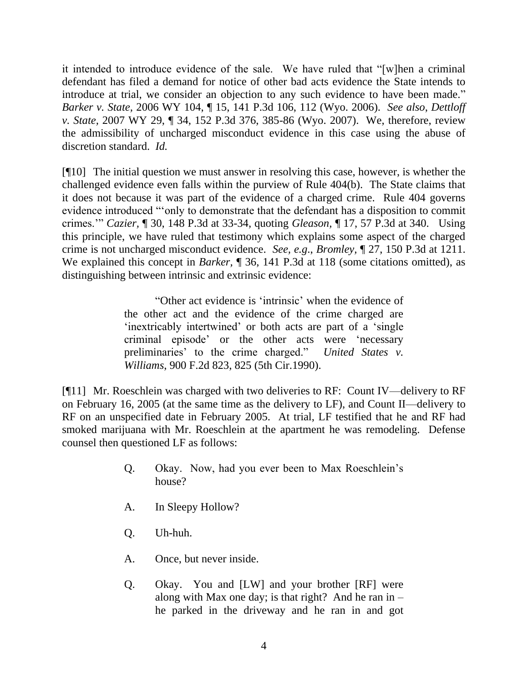it intended to introduce evidence of the sale. We have ruled that  $\lq$  when a criminal defendant has filed a demand for notice of other bad acts evidence the State intends to introduce at trial, we consider an objection to any such evidence to have been made." *Barker v. State,* 2006 WY 104, ¶ 15, 141 P.3d 106, 112 (Wyo. 2006). *See also*, *Dettloff v. State,* 2007 WY 29, ¶ 34, 152 P.3d 376, 385-86 (Wyo. 2007). We, therefore, review the admissibility of uncharged misconduct evidence in this case using the abuse of discretion standard. *Id.* 

[¶10] The initial question we must answer in resolving this case, however, is whether the challenged evidence even falls within the purview of Rule 404(b). The State claims that it does not because it was part of the evidence of a charged crime. Rule 404 governs evidence introduced "only to demonstrate that the defendant has a disposition to commit crimes.'‖ *Cazier,* ¶ 30, 148 P.3d at 33-34, quoting *Gleason,* ¶ 17, 57 P.3d at 340. Using this principle, we have ruled that testimony which explains some aspect of the charged crime is not uncharged misconduct evidence. *See, e.g*., *Bromley,* ¶ 27, 150 P.3d at 1211. We explained this concept in *Barker*,  $\sqrt{ }$  36, 141 P.3d at 118 (some citations omitted), as distinguishing between intrinsic and extrinsic evidence:

> ―Other act evidence is ‗intrinsic' when the evidence of the other act and the evidence of the crime charged are 'inextricably intertwined' or both acts are part of a 'single criminal episode' or the other acts were 'necessary preliminaries' to the crime charged." *United States v. Williams*, 900 F.2d 823, 825 (5th Cir.1990).

[¶11] Mr. Roeschlein was charged with two deliveries to RF: Count IV—delivery to RF on February 16, 2005 (at the same time as the delivery to LF), and Count II—delivery to RF on an unspecified date in February 2005. At trial, LF testified that he and RF had smoked marijuana with Mr. Roeschlein at the apartment he was remodeling. Defense counsel then questioned LF as follows:

- Q. Okay. Now, had you ever been to Max Roeschlein's house?
- A. In Sleepy Hollow?
- Q. Uh-huh.
- A. Once, but never inside.
- Q. Okay. You and [LW] and your brother [RF] were along with Max one day; is that right? And he ran in  $$ he parked in the driveway and he ran in and got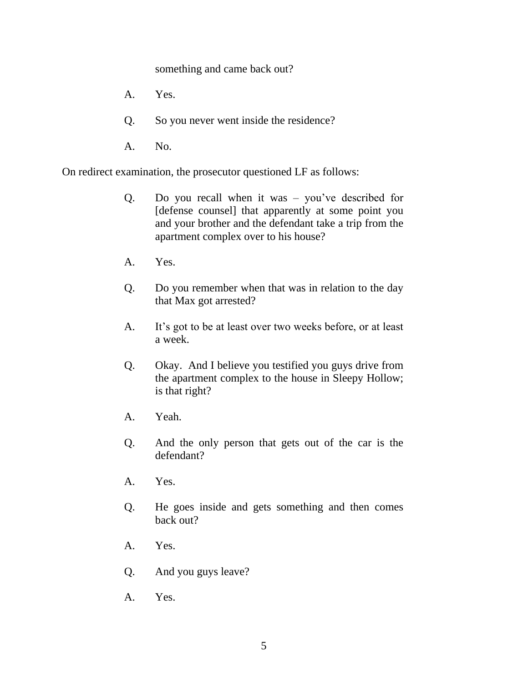something and came back out?

- A. Yes.
- Q. So you never went inside the residence?
- A. No.

On redirect examination, the prosecutor questioned LF as follows:

- Q. Do you recall when it was you've described for [defense counsel] that apparently at some point you and your brother and the defendant take a trip from the apartment complex over to his house?
- A. Yes.
- Q. Do you remember when that was in relation to the day that Max got arrested?
- A. It's got to be at least over two weeks before, or at least a week.
- Q. Okay. And I believe you testified you guys drive from the apartment complex to the house in Sleepy Hollow; is that right?
- A. Yeah.
- Q. And the only person that gets out of the car is the defendant?
- A. Yes.
- Q. He goes inside and gets something and then comes back out?
- A. Yes.
- Q. And you guys leave?
- A. Yes.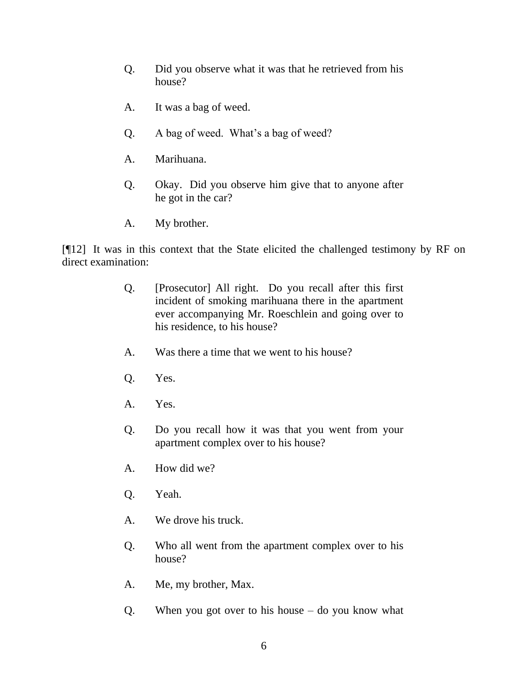- Q. Did you observe what it was that he retrieved from his house?
- A. It was a bag of weed.
- Q. A bag of weed. What's a bag of weed?
- A. Marihuana.
- Q. Okay. Did you observe him give that to anyone after he got in the car?
- A. My brother.

[¶12] It was in this context that the State elicited the challenged testimony by RF on direct examination:

- Q. [Prosecutor] All right. Do you recall after this first incident of smoking marihuana there in the apartment ever accompanying Mr. Roeschlein and going over to his residence, to his house?
- A. Was there a time that we went to his house?
- Q. Yes.
- A. Yes.
- Q. Do you recall how it was that you went from your apartment complex over to his house?
- A. How did we?
- Q. Yeah.
- A. We drove his truck.
- Q. Who all went from the apartment complex over to his house?
- A. Me, my brother, Max.
- Q. When you got over to his house do you know what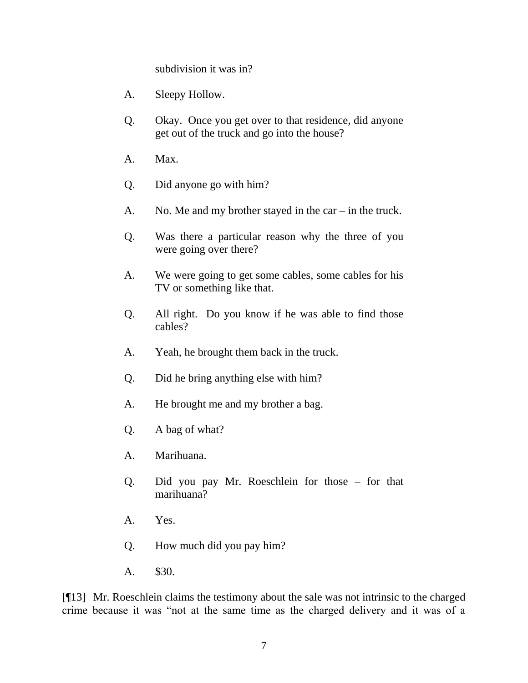subdivision it was in?

- A. Sleepy Hollow.
- Q. Okay. Once you get over to that residence, did anyone get out of the truck and go into the house?
- A. Max.
- Q. Did anyone go with him?
- A. No. Me and my brother stayed in the car in the truck.
- Q. Was there a particular reason why the three of you were going over there?
- A. We were going to get some cables, some cables for his TV or something like that.
- Q. All right. Do you know if he was able to find those cables?
- A. Yeah, he brought them back in the truck.
- Q. Did he bring anything else with him?
- A. He brought me and my brother a bag.
- Q. A bag of what?
- A. Marihuana.
- Q. Did you pay Mr. Roeschlein for those for that marihuana?
- A. Yes.
- Q. How much did you pay him?
- A. \$30.

[¶13] Mr. Roeschlein claims the testimony about the sale was not intrinsic to the charged crime because it was "not at the same time as the charged delivery and it was of a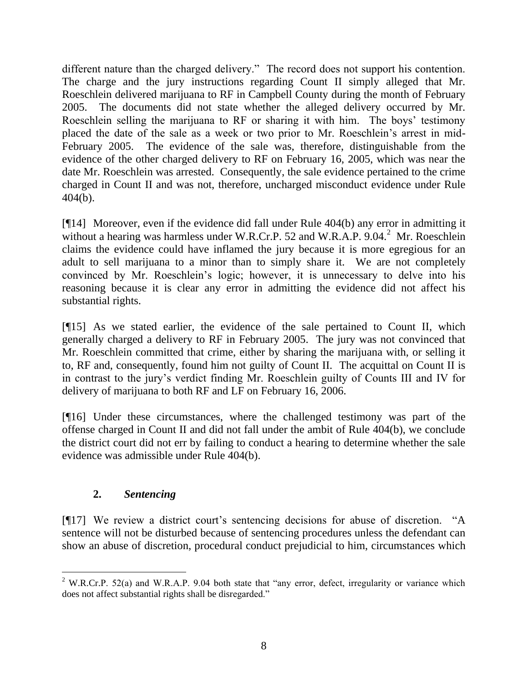different nature than the charged delivery." The record does not support his contention. The charge and the jury instructions regarding Count II simply alleged that Mr. Roeschlein delivered marijuana to RF in Campbell County during the month of February 2005. The documents did not state whether the alleged delivery occurred by Mr. Roeschlein selling the marijuana to RF or sharing it with him. The boys' testimony placed the date of the sale as a week or two prior to Mr. Roeschlein's arrest in mid-February 2005. The evidence of the sale was, therefore, distinguishable from the evidence of the other charged delivery to RF on February 16, 2005, which was near the date Mr. Roeschlein was arrested. Consequently, the sale evidence pertained to the crime charged in Count II and was not, therefore, uncharged misconduct evidence under Rule 404(b).

[¶14] Moreover, even if the evidence did fall under Rule 404(b) any error in admitting it without a hearing was harmless under W.R.Cr.P. 52 and W.R.A.P.  $9.04$ .<sup>2</sup> Mr. Roeschlein claims the evidence could have inflamed the jury because it is more egregious for an adult to sell marijuana to a minor than to simply share it. We are not completely convinced by Mr. Roeschlein's logic; however, it is unnecessary to delve into his reasoning because it is clear any error in admitting the evidence did not affect his substantial rights.

[¶15] As we stated earlier, the evidence of the sale pertained to Count II, which generally charged a delivery to RF in February 2005. The jury was not convinced that Mr. Roeschlein committed that crime, either by sharing the marijuana with, or selling it to, RF and, consequently, found him not guilty of Count II. The acquittal on Count II is in contrast to the jury's verdict finding Mr. Roeschlein guilty of Counts III and IV for delivery of marijuana to both RF and LF on February 16, 2006.

[¶16] Under these circumstances, where the challenged testimony was part of the offense charged in Count II and did not fall under the ambit of Rule 404(b), we conclude the district court did not err by failing to conduct a hearing to determine whether the sale evidence was admissible under Rule 404(b).

### **2.** *Sentencing*

[¶17] We review a district court's sentencing decisions for abuse of discretion. "A sentence will not be disturbed because of sentencing procedures unless the defendant can show an abuse of discretion, procedural conduct prejudicial to him, circumstances which

 <sup>2</sup> W.R.Cr.P. 52(a) and W.R.A.P. 9.04 both state that "any error, defect, irregularity or variance which does not affect substantial rights shall be disregarded."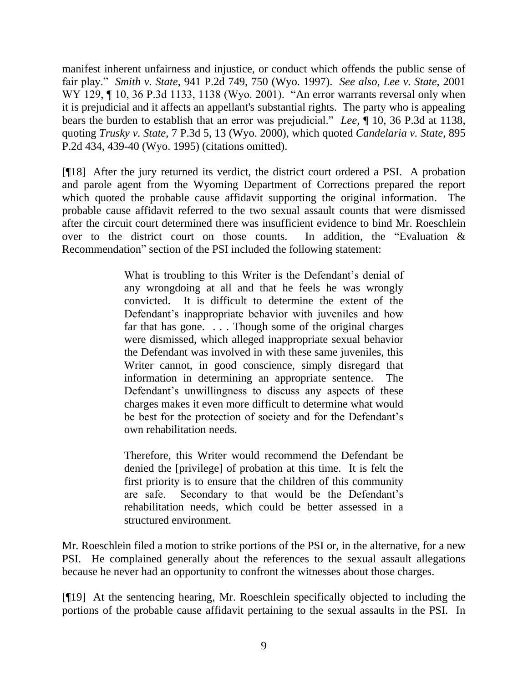manifest inherent unfairness and injustice, or conduct which offends the public sense of fair play.‖ *Smith v. State*, 941 P.2d 749, 750 (Wyo. 1997). *See also*, *Lee v. State,* 2001 WY 129, ¶ 10, 36 P.3d 1133, 1138 (Wyo. 2001). "An error warrants reversal only when it is prejudicial and it affects an appellant's substantial rights. The party who is appealing bears the burden to establish that an error was prejudicial." *Lee*, ¶ 10, 36 P.3d at 1138, quoting *Trusky v. State,* 7 P.3d 5, 13 (Wyo. 2000), which quoted *Candelaria v. State*, 895 P.2d 434, 439-40 (Wyo. 1995) (citations omitted).

[¶18] After the jury returned its verdict, the district court ordered a PSI. A probation and parole agent from the Wyoming Department of Corrections prepared the report which quoted the probable cause affidavit supporting the original information. The probable cause affidavit referred to the two sexual assault counts that were dismissed after the circuit court determined there was insufficient evidence to bind Mr. Roeschlein over to the district court on those counts. In addition, the "Evaluation  $\&$ Recommendation" section of the PSI included the following statement:

> What is troubling to this Writer is the Defendant's denial of any wrongdoing at all and that he feels he was wrongly convicted. It is difficult to determine the extent of the Defendant's inappropriate behavior with juveniles and how far that has gone. . . . Though some of the original charges were dismissed, which alleged inappropriate sexual behavior the Defendant was involved in with these same juveniles, this Writer cannot, in good conscience, simply disregard that information in determining an appropriate sentence. The Defendant's unwillingness to discuss any aspects of these charges makes it even more difficult to determine what would be best for the protection of society and for the Defendant's own rehabilitation needs.

> Therefore, this Writer would recommend the Defendant be denied the [privilege] of probation at this time. It is felt the first priority is to ensure that the children of this community are safe. Secondary to that would be the Defendant's rehabilitation needs, which could be better assessed in a structured environment.

Mr. Roeschlein filed a motion to strike portions of the PSI or, in the alternative, for a new PSI. He complained generally about the references to the sexual assault allegations because he never had an opportunity to confront the witnesses about those charges.

[¶19] At the sentencing hearing, Mr. Roeschlein specifically objected to including the portions of the probable cause affidavit pertaining to the sexual assaults in the PSI. In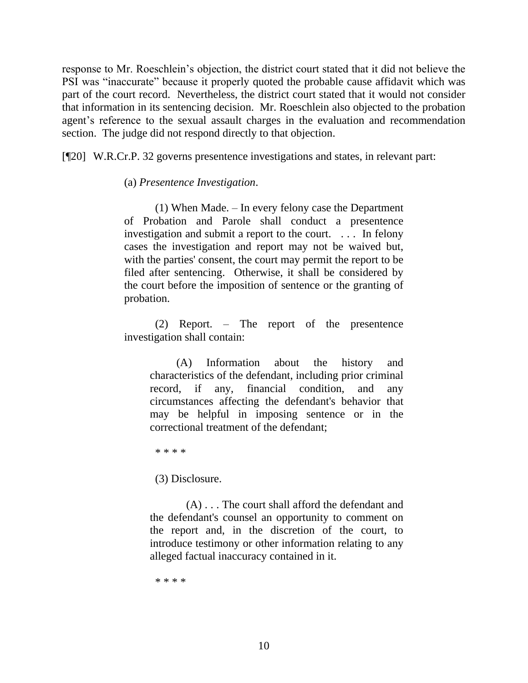response to Mr. Roeschlein's objection, the district court stated that it did not believe the PSI was "inaccurate" because it properly quoted the probable cause affidavit which was part of the court record. Nevertheless, the district court stated that it would not consider that information in its sentencing decision. Mr. Roeschlein also objected to the probation agent's reference to the sexual assault charges in the evaluation and recommendation section. The judge did not respond directly to that objection.

[¶20] W.R.Cr.P. 32 governs presentence investigations and states, in relevant part:

(a) *Presentence Investigation*.

(1) When Made. – In every felony case the Department of Probation and Parole shall conduct a presentence investigation and submit a report to the court. . . . In felony cases the investigation and report may not be waived but, with the parties' consent, the court may permit the report to be filed after sentencing. Otherwise, it shall be considered by the court before the imposition of sentence or the granting of probation.

(2) Report. – The report of the presentence investigation shall contain:

 (A) Information about the history and characteristics of the defendant, including prior criminal record, if any, financial condition, and any circumstances affecting the defendant's behavior that may be helpful in imposing sentence or in the correctional treatment of the defendant;

\* \* \* \*

(3) Disclosure.

(A) . . . The court shall afford the defendant and the defendant's counsel an opportunity to comment on the report and, in the discretion of the court, to introduce testimony or other information relating to any alleged factual inaccuracy contained in it.

\* \* \* \*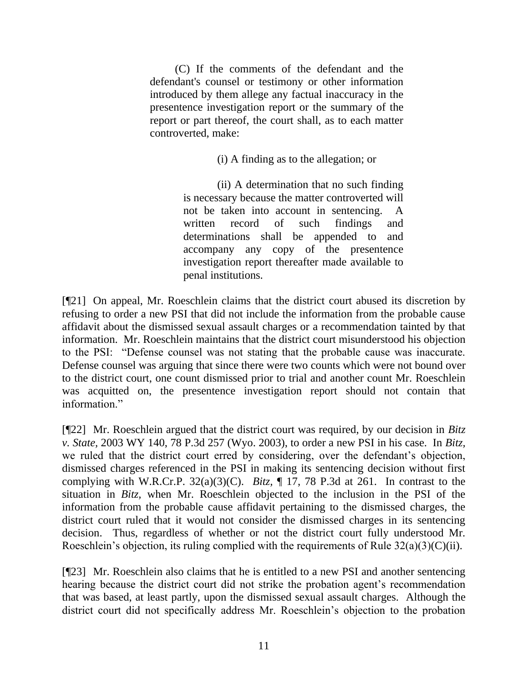(C) If the comments of the defendant and the defendant's counsel or testimony or other information introduced by them allege any factual inaccuracy in the presentence investigation report or the summary of the report or part thereof, the court shall, as to each matter controverted, make:

(i) A finding as to the allegation; or

(ii) A determination that no such finding is necessary because the matter controverted will not be taken into account in sentencing. A written record of such findings and determinations shall be appended to and accompany any copy of the presentence investigation report thereafter made available to penal institutions.

[¶21] On appeal, Mr. Roeschlein claims that the district court abused its discretion by refusing to order a new PSI that did not include the information from the probable cause affidavit about the dismissed sexual assault charges or a recommendation tainted by that information. Mr. Roeschlein maintains that the district court misunderstood his objection to the PSI: "Defense counsel was not stating that the probable cause was inaccurate. Defense counsel was arguing that since there were two counts which were not bound over to the district court, one count dismissed prior to trial and another count Mr. Roeschlein was acquitted on, the presentence investigation report should not contain that information"

[¶22] Mr. Roeschlein argued that the district court was required, by our decision in *Bitz v. State,* 2003 WY 140, 78 P.3d 257 (Wyo. 2003), to order a new PSI in his case. In *Bitz,*  we ruled that the district court erred by considering, over the defendant's objection, dismissed charges referenced in the PSI in making its sentencing decision without first complying with W.R.Cr.P. 32(a)(3)(C). *Bitz,* ¶ 17, 78 P.3d at 261. In contrast to the situation in *Bitz,* when Mr. Roeschlein objected to the inclusion in the PSI of the information from the probable cause affidavit pertaining to the dismissed charges, the district court ruled that it would not consider the dismissed charges in its sentencing decision. Thus, regardless of whether or not the district court fully understood Mr. Roeschlein's objection, its ruling complied with the requirements of Rule  $32(a)(3)(C)(ii)$ .

[¶23] Mr. Roeschlein also claims that he is entitled to a new PSI and another sentencing hearing because the district court did not strike the probation agent's recommendation that was based, at least partly, upon the dismissed sexual assault charges. Although the district court did not specifically address Mr. Roeschlein's objection to the probation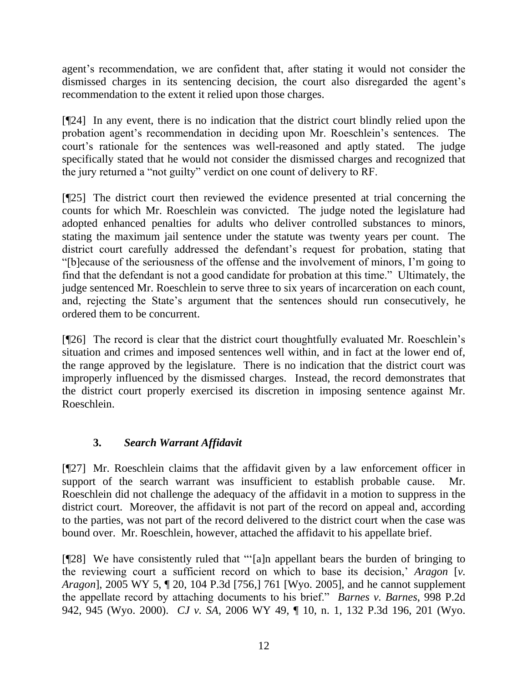agent's recommendation, we are confident that, after stating it would not consider the dismissed charges in its sentencing decision, the court also disregarded the agent's recommendation to the extent it relied upon those charges.

[¶24] In any event, there is no indication that the district court blindly relied upon the probation agent's recommendation in deciding upon Mr. Roeschlein's sentences. The court's rationale for the sentences was well-reasoned and aptly stated. The judge specifically stated that he would not consider the dismissed charges and recognized that the jury returned a "not guilty" verdict on one count of delivery to RF.

[¶25] The district court then reviewed the evidence presented at trial concerning the counts for which Mr. Roeschlein was convicted. The judge noted the legislature had adopted enhanced penalties for adults who deliver controlled substances to minors, stating the maximum jail sentence under the statute was twenty years per count. The district court carefully addressed the defendant's request for probation, stating that ―[b]ecause of the seriousness of the offense and the involvement of minors, I'm going to find that the defendant is not a good candidate for probation at this time." Ultimately, the judge sentenced Mr. Roeschlein to serve three to six years of incarceration on each count, and, rejecting the State's argument that the sentences should run consecutively, he ordered them to be concurrent.

[¶26] The record is clear that the district court thoughtfully evaluated Mr. Roeschlein's situation and crimes and imposed sentences well within, and in fact at the lower end of, the range approved by the legislature. There is no indication that the district court was improperly influenced by the dismissed charges. Instead, the record demonstrates that the district court properly exercised its discretion in imposing sentence against Mr. Roeschlein.

# **3.** *Search Warrant Affidavit*

[¶27] Mr. Roeschlein claims that the affidavit given by a law enforcement officer in support of the search warrant was insufficient to establish probable cause. Mr. Roeschlein did not challenge the adequacy of the affidavit in a motion to suppress in the district court. Moreover, the affidavit is not part of the record on appeal and, according to the parties, was not part of the record delivered to the district court when the case was bound over. Mr. Roeschlein, however, attached the affidavit to his appellate brief.

[¶28] We have consistently ruled that "'[a]n appellant bears the burden of bringing to the reviewing court a sufficient record on which to base its decision,' *Aragon* [*v. Aragon*], 2005 WY 5, ¶ 20, 104 P.3d [756,] 761 [Wyo. 2005], and he cannot supplement the appellate record by attaching documents to his brief." *Barnes v. Barnes*, 998 P.2d 942, 945 (Wyo. 2000). *CJ v. SA,* 2006 WY 49, ¶ 10, n. 1, 132 P.3d 196, 201 (Wyo.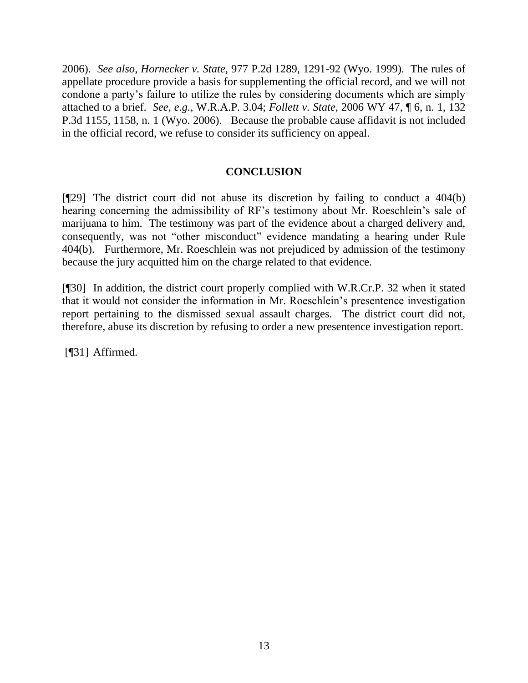2006). *See also*, *Hornecker v. State,* 977 P.2d 1289, 1291-92 (Wyo. 1999). The rules of appellate procedure provide a basis for supplementing the official record, and we will not condone a party's failure to utilize the rules by considering documents which are simply attached to a brief. *See, e.g.*, W.R.A.P. 3.04; *Follett v. State,* 2006 WY 47, ¶ 6, n. 1, 132 P.3d 1155, 1158, n. 1 (Wyo. 2006). Because the probable cause affidavit is not included in the official record, we refuse to consider its sufficiency on appeal.

### **CONCLUSION**

[¶29] The district court did not abuse its discretion by failing to conduct a 404(b) hearing concerning the admissibility of RF's testimony about Mr. Roeschlein's sale of marijuana to him. The testimony was part of the evidence about a charged delivery and, consequently, was not "other misconduct" evidence mandating a hearing under Rule 404(b). Furthermore, Mr. Roeschlein was not prejudiced by admission of the testimony because the jury acquitted him on the charge related to that evidence.

[¶30] In addition, the district court properly complied with W.R.Cr.P. 32 when it stated that it would not consider the information in Mr. Roeschlein's presentence investigation report pertaining to the dismissed sexual assault charges. The district court did not, therefore, abuse its discretion by refusing to order a new presentence investigation report.

[¶31] Affirmed.